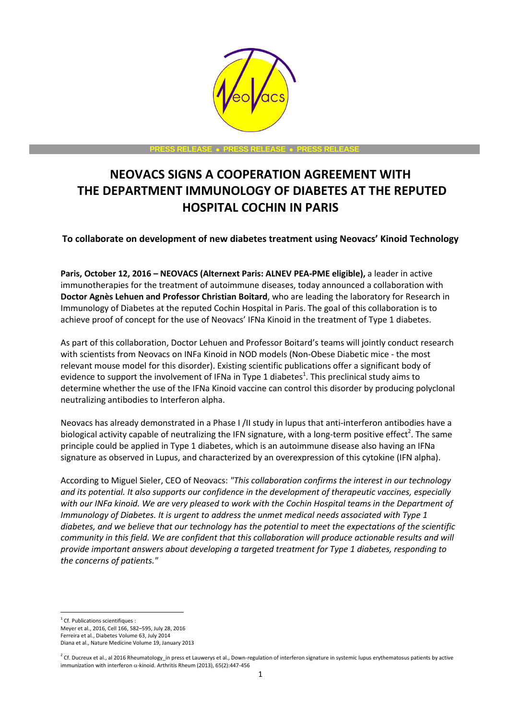

**PRESS RELEASE PRESS RELEASE PRESS RELEASE**

# **NEOVACS SIGNS A COOPERATION AGREEMENT WITH THE DEPARTMENT IMMUNOLOGY OF DIABETES AT THE REPUTED HOSPITAL COCHIN IN PARIS**

# **To collaborate on development of new diabetes treatment using Neovacs' Kinoid Technology**

**Paris, October 12, 2016 – NEOVACS (Alternext Paris: ALNEV PEA-PME eligible),** a leader in active immunotherapies for the treatment of autoimmune diseases, today announced a collaboration with **Doctor Agnès Lehuen and Professor Christian Boitard**, who are leading the laboratory for Research in Immunology of Diabetes at the reputed Cochin Hospital in Paris. The goal of this collaboration is to achieve proof of concept for the use of Neovacs' IFNa Kinoid in the treatment of Type 1 diabetes.

As part of this collaboration, Doctor Lehuen and Professor Boitard's teams will jointly conduct research with scientists from Neovacs on INFa Kinoid in NOD models (Non-Obese Diabetic mice - the most relevant mouse model for this disorder). Existing scientific publications offer a significant body of evidence to support the involvement of IFNa in Type 1 diabetes<sup>1</sup>. This preclinical study aims to determine whether the use of the IFNa Kinoid vaccine can control this disorder by producing polyclonal neutralizing antibodies to Interferon alpha.

Neovacs has already demonstrated in a Phase I /II study in lupus that anti-interferon antibodies have a biological activity capable of neutralizing the IFN signature, with a long-term positive effect<sup>2</sup>. The same principle could be applied in Type 1 diabetes, which is an autoimmune disease also having an IFNa signature as observed in Lupus, and characterized by an overexpression of this cytokine (IFN alpha).

According to Miguel Sieler, CEO of Neovacs: *"This collaboration confirms the interest in our technology and its potential. It also supports our confidence in the development of therapeutic vaccines, especially with our INFa kinoid. We are very pleased to work with the Cochin Hospital teams in the Department of Immunology of Diabetes. It is urgent to address the unmet medical needs associated with Type 1 diabetes, and we believe that our technology has the potential to meet the expectations of the scientific community in this field. We are confident that this collaboration will produce actionable results and will provide important answers about developing a targeted treatment for Type 1 diabetes, responding to the concerns of patients."*

 $\overline{a}$ <sup>1</sup> Cf. Publications scientifiques :

Meyer et al., 2016, Cell 166, 582–595, July 28, 2016

Ferreira et al., Diabetes Volume 63, July 2014 Diana et al., Nature Medicine Volume 19, January 2013

 $^2$  Cf. Ducreux et al., al 2016 Rheumatology\_in press et Lauwerys et al., Down-regulation of interferon signature in systemic lupus erythematosus patients by active immunization with interferon  $\alpha$ -kinoid. Arthritis Rheum (2013), 65(2):447-456